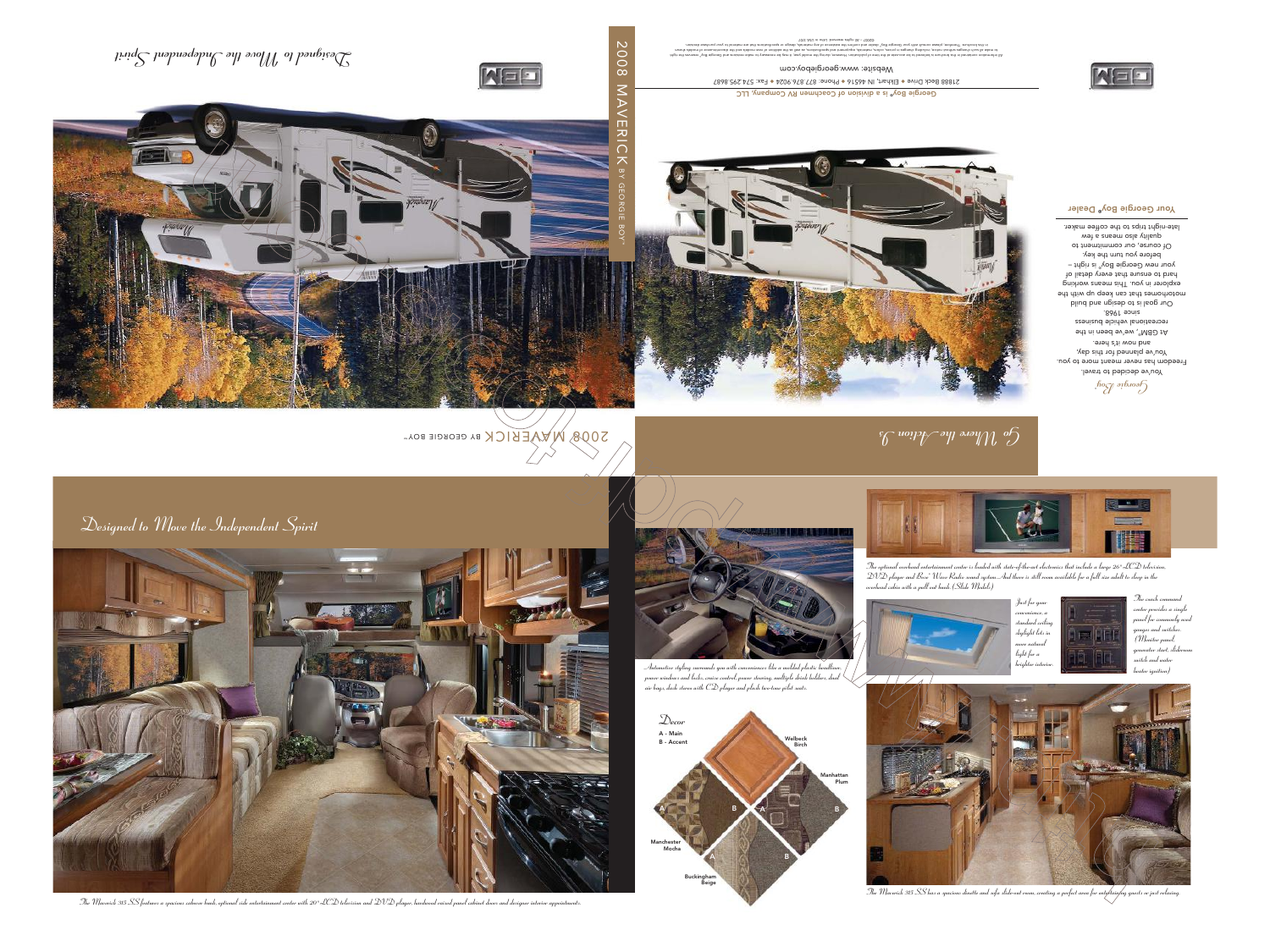

800

# *Designed to Move the Independent Spirit*

*Go Where the Action Is*

Georgie Boy® is a division of Coachmen RV Company, LLC Fax: 574.295.8687 ◆ Phone: 877.876.9024 ◆ Elkhart, IN 46516 ◆ 21888 Beck Drive

Website: www.georgieboy.com

ore message of the system of their and theory phome should he and the insight and the showed of beineries and being ore inforces in the system of the shape of the system of the should shape in the system of new mande all









S008 MWERICK BY GEORGIE BOY™

*Designed to Move the Independent Spirit*



The Maverick 315 SS features a spacious cabover bunk, optional side entertainment center with 20"LCD television and DVD player, hardwood raised panel cabinet doors and designer interior appointments.

*The Maverick 315 SS has a spacious dinette and sofa slide-out room, creating a perfect area for entertaining guests or just relaxing.*

![](_page_0_Picture_7.jpeg)

![](_page_0_Picture_10.jpeg)

![](_page_0_Picture_11.jpeg)

*The optional overhead entertainment center is loaded with state-of-the-art electronics that include a large 26" LCD television, DVD player and Bose® Wave Radio sound system. And there is still room available for a full size adult to sleep in the*

![](_page_0_Picture_13.jpeg)

![](_page_0_Picture_14.jpeg)

*Just for your convenience, <sup>a</sup> standard ceiling skylight lets in more natural*

![](_page_0_Picture_16.jpeg)

![](_page_0_Picture_18.jpeg)

## Your Georgie Boy<sup>®</sup> Dealer

![](_page_0_Picture_9.jpeg)

![](_page_0_Picture_8.jpeg)

*air bags, dash stereo with CD player and plush two-tone pilot seats.*

![](_page_0_Picture_12.jpeg)